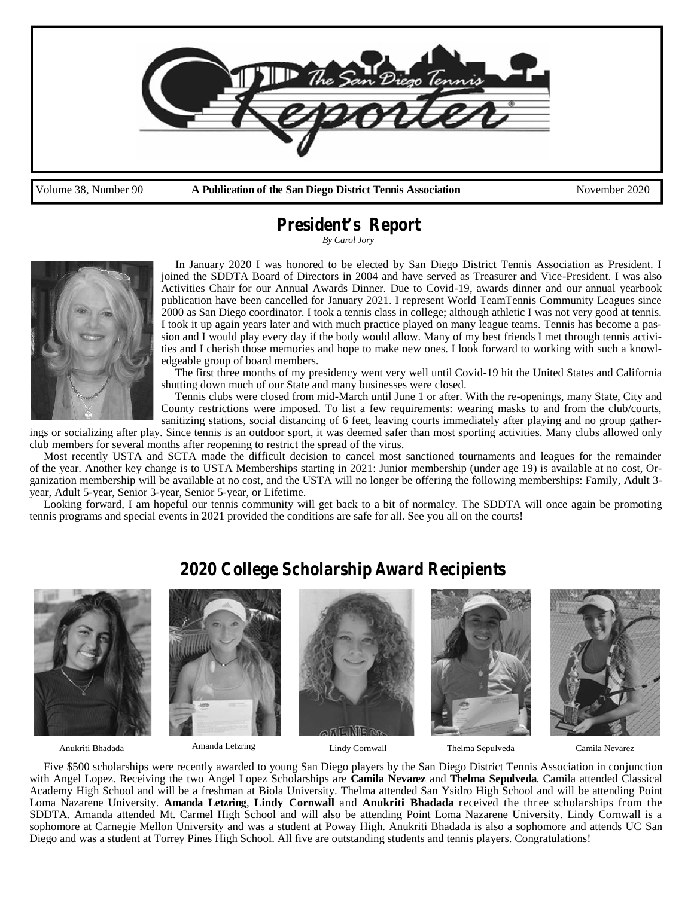

*President's Report*

*By Carol Jory*



In January 2020 I was honored to be elected by San Diego District Tennis Association as President. I joined the SDDTA Board of Directors in 2004 and have served as Treasurer and Vice-President. I was also Activities Chair for our Annual Awards Dinner. Due to Covid-19, awards dinner and our annual yearbook publication have been cancelled for January 2021. I represent World TeamTennis Community Leagues since 2000 as San Diego coordinator. I took a tennis class in college; although athletic I was not very good at tennis. I took it up again years later and with much practice played on many league teams. Tennis has become a passion and I would play every day if the body would allow. Many of my best friends I met through tennis activities and I cherish those memories and hope to make new ones. I look forward to working with such a knowledgeable group of board members.

The first three months of my presidency went very well until Covid-19 hit the United States and California shutting down much of our State and many businesses were closed.

Tennis clubs were closed from mid-March until June 1 or after. With the re-openings, many State, City and County restrictions were imposed. To list a few requirements: wearing masks to and from the club/courts, sanitizing stations, social distancing of 6 feet, leaving courts immediately after playing and no group gather-

ings or socializing after play. Since tennis is an outdoor sport, it was deemed safer than most sporting activities. Many clubs allowed only club members for several months after reopening to restrict the spread of the virus.

Most recently USTA and SCTA made the difficult decision to cancel most sanctioned tournaments and leagues for the remainder of the year. Another key change is to USTA Memberships starting in 2021: Junior membership (under age 19) is available at no cost, Organization membership will be available at no cost, and the USTA will no longer be offering the following memberships: Family, Adult 3 year, Adult 5-year, Senior 3-year, Senior 5-year, or Lifetime.

Looking forward, I am hopeful our tennis community will get back to a bit of normalcy. The SDDTA will once again be promoting tennis programs and special events in 2021 provided the conditions are safe for all. See you all on the courts!



*2020 College Scholarship Award Recipients*

Amanda Letzring

Five \$500 scholarships were recently awarded to young San Diego players by the San Diego District Tennis Association in conjunction with Angel Lopez. Receiving the two Angel Lopez Scholarships are **Camila Nevarez** and **Thelma Sepulveda**. Camila attended Classical Academy High School and will be a freshman at Biola University. Thelma attended San Ysidro High School and will be attending Point Loma Nazarene University. **Amanda Letzring**, **Lindy Cornwall** and **Anukriti Bhadada** received the three scholarships from the SDDTA. Amanda attended Mt. Carmel High School and will also be attending Point Loma Nazarene University. Lindy Cornwall is a sophomore at Carnegie Mellon University and was a student at Poway High. Anukriti Bhadada is also a sophomore and attends UC San Diego and was a student at Torrey Pines High School. All five are outstanding students and tennis players. Congratulations!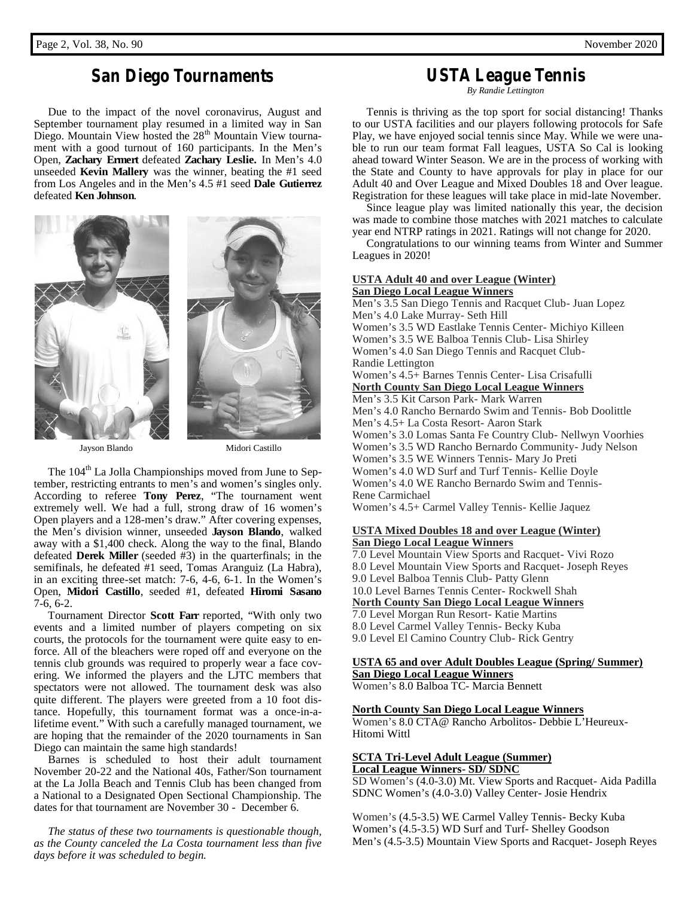## *San Diego Tournaments*

Due to the impact of the novel coronavirus, August and September tournament play resumed in a limited way in San Diego. Mountain View hosted the 28<sup>th</sup> Mountain View tournament with a good turnout of 160 participants. In the Men's Open, **Zachary Ermert** defeated **Zachary Leslie.** In Men's 4.0 unseeded **Kevin Mallery** was the winner, beating the #1 seed from Los Angeles and in the Men's 4.5 #1 seed **Dale Gutierrez** defeated **Ken Johnson**.



Jayson Blando Midori Castillo



The 104<sup>th</sup> La Jolla Championships moved from June to September, restricting entrants to men's and women's singles only. According to referee **Tony Perez**, "The tournament went extremely well. We had a full, strong draw of 16 women's Open players and a 128-men's draw." After covering expenses, the Men's division winner, unseeded **Jayson Blando**, walked away with a \$1,400 check. Along the way to the final, Blando defeated **Derek Miller** (seeded #3) in the quarterfinals; in the semifinals, he defeated #1 seed, Tomas Aranguiz (La Habra), in an exciting three-set match: 7-6, 4-6, 6-1. In the Women's Open, **Midori Castillo**, seeded #1, defeated **Hiromi Sasano** 7-6, 6-2.

Tournament Director **Scott Farr** reported, "With only two events and a limited number of players competing on six courts, the protocols for the tournament were quite easy to enforce. All of the bleachers were roped off and everyone on the tennis club grounds was required to properly wear a face covering. We informed the players and the LJTC members that spectators were not allowed. The tournament desk was also quite different. The players were greeted from a 10 foot distance. Hopefully, this tournament format was a once-in-alifetime event." With such a carefully managed tournament, we are hoping that the remainder of the 2020 tournaments in San Diego can maintain the same high standards!

Barnes is scheduled to host their adult tournament November 20-22 and the National 40s, Father/Son tournament at the La Jolla Beach and Tennis Club has been changed from a National to a Designated Open Sectional Championship. The dates for that tournament are November 30 - December 6.

*The status of these two tournaments is questionable though, as the County canceled the La Costa tournament less than five days before it was scheduled to begin.*

## *USTA League Tennis*

*By Randie Lettington*

Tennis is thriving as the top sport for social distancing! Thanks to our USTA facilities and our players following protocols for Safe Play, we have enjoyed social tennis since May. While we were unable to run our team format Fall leagues, USTA So Cal is looking ahead toward Winter Season. We are in the process of working with the State and County to have approvals for play in place for our Adult 40 and Over League and Mixed Doubles 18 and Over league. Registration for these leagues will take place in mid-late November.

Since league play was limited nationally this year, the decision was made to combine those matches with 2021 matches to calculate year end NTRP ratings in 2021. Ratings will not change for 2020.

Congratulations to our winning teams from Winter and Summer Leagues in 2020!

## **USTA Adult 40 and over League (Winter) San Diego Local League Winners**

Men's 3.5 San Diego Tennis and Racquet Club- Juan Lopez Men's 4.0 Lake Murray- Seth Hill Women's 3.5 WD Eastlake Tennis Center- Michiyo Killeen Women's 3.5 WE Balboa Tennis Club- Lisa Shirley Women's 4.0 San Diego Tennis and Racquet Club- Randie Lettington Women's 4.5+ Barnes Tennis Center- Lisa Crisafulli **North County San Diego Local League Winners** Men's 3.5 Kit Carson Park- Mark Warren Men's 4.0 Rancho Bernardo Swim and Tennis- Bob Doolittle Men's 4.5+ La Costa Resort- Aaron Stark Women's 3.0 Lomas Santa Fe Country Club- Nellwyn Voorhies Women's 3.5 WD Rancho Bernardo Community- Judy Nelson Women's 3.5 WE Winners Tennis- Mary Jo Preti Women's 4.0 WD Surf and Turf Tennis- Kellie Doyle Women's 4.0 WE Rancho Bernardo Swim and Tennis- Rene Carmichael Women's 4.5+ Carmel Valley Tennis- Kellie Jaquez

## **USTA Mixed Doubles 18 and over League (Winter) San Diego Local League Winners**

7.0 Level Mountain View Sports and Racquet- Vivi Rozo 8.0 Level Mountain View Sports and Racquet- Joseph Reyes 9.0 Level Balboa Tennis Club- Patty Glenn 10.0 Level Barnes Tennis Center- Rockwell Shah **North County San Diego Local League Winners** 7.0 Level Morgan Run Resort- Katie Martins 8.0 Level Carmel Valley Tennis- Becky Kuba 9.0 Level El Camino Country Club- Rick Gentry

## **USTA 65 and over Adult Doubles League (Spring/ Summer) San Diego Local League Winners**

Women's 8.0 Balboa TC- Marcia Bennett

## **North County San Diego Local League Winners**

Women's 8.0 CTA@ Rancho Arbolitos- Debbie L'Heureux- Hitomi Wittl

## **SCTA Tri-Level Adult League (Summer) Local League Winners- SD/ SDNC**

SD Women's (4.0-3.0) Mt. View Sports and Racquet- Aida Padilla SDNC Women's (4.0-3.0) Valley Center- Josie Hendrix

Women's (4.5-3.5) WE Carmel Valley Tennis- Becky Kuba Women's (4.5-3.5) WD Surf and Turf- Shelley Goodson Men's (4.5-3.5) Mountain View Sports and Racquet- Joseph Reyes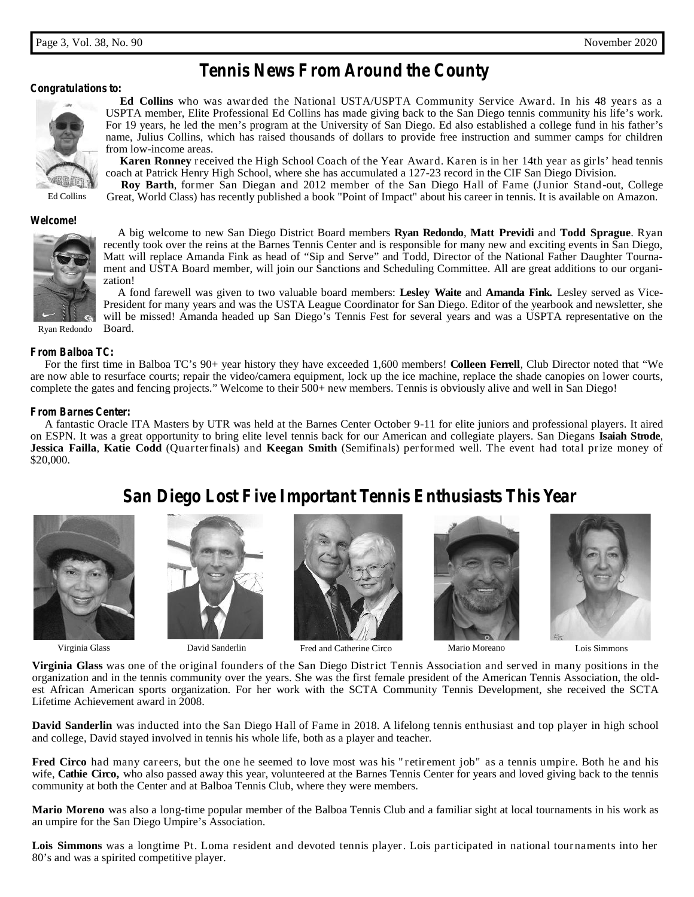## *Tennis News From Around the County*

## *Congratulations to:*



Ed Collins

**Ed Collins** who was awarded the National USTA/USPTA Community Service Award. In his 48 years as a USPTA member, Elite Professional Ed Collins has made giving back to the San Diego tennis community his life's work. For 19 years, he led the men's program at the University of San Diego. Ed also established a college fund in his father's name, Julius Collins, which has raised thousands of dollars to provide free instruction and summer camps for children from low-income areas.

**Karen Ronney** received the High School Coach of the Year Award. Karen is in her 14th year as girls' head tennis coach at Patrick Henry High School, where she has accumulated a 127-23 record in the CIF San Diego Division.

**Roy Barth**, former San Diegan and 2012 member of the San Diego Hall of Fame (Junior Stand-out, College Great, World Class) has recently published a book "Point of Impact" about his career in tennis. It is available on Amazon.

### *Welcome!*



A big welcome to new San Diego District Board members **Ryan Redondo**, **Matt Previdi** and **Todd Sprague**. Ryan recently took over the reins at the Barnes Tennis Center and is responsible for many new and exciting events in San Diego, Matt will replace Amanda Fink as head of "Sip and Serve" and Todd, Director of the National Father Daughter Tournament and USTA Board member, will join our Sanctions and Scheduling Committee. All are great additions to our organization!

A fond farewell was given to two valuable board members: **Lesley Waite** and **Amanda Fink.** Lesley served as Vice- President for many years and was the USTA League Coordinator for San Diego. Editor of the yearbook and newsletter, she will be missed! Amanda headed up San Diego's Tennis Fest for several years and was a USPTA representative on the Board.

Ryan Redondo

### *From Balboa TC:*

For the first time in Balboa TC's 90+ year history they have exceeded 1,600 members! **Colleen Ferrell**, Club Director noted that "We are now able to resurface courts; repair the video/camera equipment, lock up the ice machine, replace the shade canopies on lower courts, complete the gates and fencing projects." Welcome to their 500+ new members. Tennis is obviously alive and well in San Diego!

## *From Barnes Center:*

A fantastic Oracle ITA Masters by UTR was held at the Barnes Center October 9-11 for elite juniors and professional players. It aired on ESPN. It was a great opportunity to bring elite level tennis back for our American and collegiate players. San Diegans **Isaiah Strode**, **Jessica Failla**, **Katie Codd** (Quarterfinals) and **Keegan Smith** (Semifinals) performed well. The event had total prize money of \$20,000.

*San Diego Lost Five Important Tennis Enthusiasts This Year*

Virginia Glass





David Sanderlin Fred and Catherine Circo Mario Moreano Lois Simmons





**Virginia Glass** was one of the original founders of the San Diego District Tennis Association and served in many positions in the organization and in the tennis community over the years. She was the first female president of the American Tennis Association, the oldest African American sports organization. For her work with the SCTA Community Tennis Development, she received the SCTA Lifetime Achievement award in 2008.

**David Sanderlin** was inducted into the San Diego Hall of Fame in 2018. A lifelong tennis enthusiast and top player in high school and college, David stayed involved in tennis his whole life, both as a player and teacher.

**Fred Circo** had many careers, but the one he seemed to love most was his " retirement job" as a tennis umpire. Both he and his wife, Cathie Circo, who also passed away this year, volunteered at the Barnes Tennis Center fo wife, **Cathie Circo**, who also passed away this year, volunteered at the Barnes Tennis Center for years and loved giving back to the tennis community at both the Center and at Balboa Tennis Club, where they were members.

**Mario Moreno** was also a long-time popular member of the Balboa Tennis Club and a familiar sight at local tournaments in his work as an umpire for the San Diego Umpire's Association.

**Lois Simmons** was a longtime Pt. Loma resident and devoted tennis player. Lois participated in national tournaments into her 80's and was a spirited competitive player.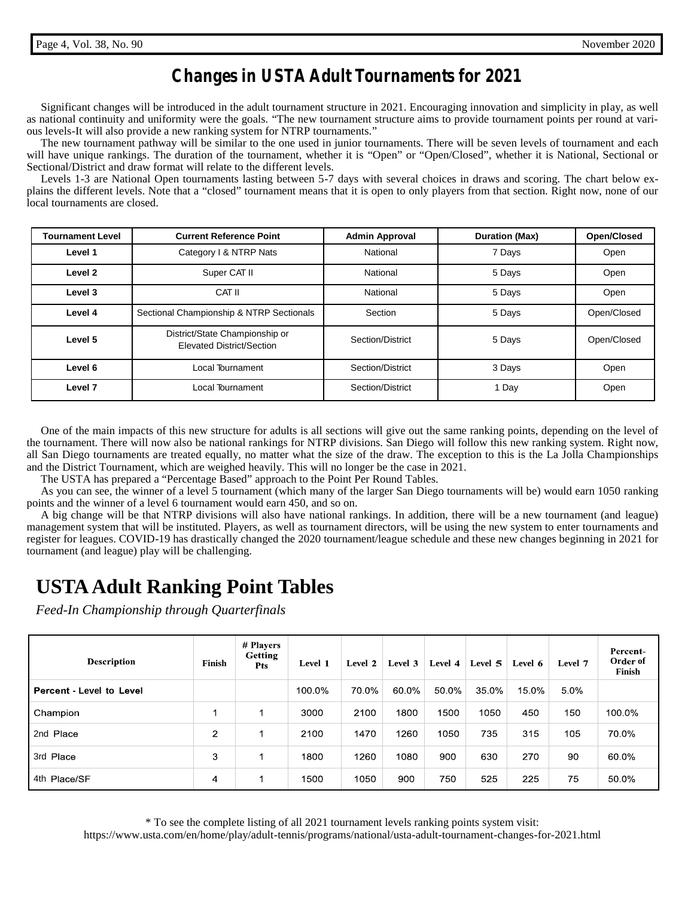## *Changes in USTA Adult Tournaments for 2021*

Significant changes will be introduced in the adult tournament structure in 2021. Encouraging innovation and simplicity in play, as well as national continuity and uniformity were the goals. "The new tournament structure aims to provide tournament points per round at various levels-It will also provide a new ranking system for NTRP tournaments."

The new tournament pathway will be similar to the one used in junior tournaments. There will be seven levels of tournament and each will have unique rankings. The duration of the tournament, whether it is "Open" or "Open/Closed", whether it is National, Sectional or Sectional/District and draw format will relate to the different levels.

Levels 1-3 are National Open tournaments lasting between 5-7 days with several choices in draws and scoring. The chart below explains the different levels. Note that a "closed" tournament means that it is open to only players from that section. Right now, none of our local tournaments are closed.

| <b>Tournament Level</b> | <b>Current Reference Point</b>                              | <b>Admin Approval</b> | <b>Duration (Max)</b> | Open/Closed |  |
|-------------------------|-------------------------------------------------------------|-----------------------|-----------------------|-------------|--|
| Level 1                 | Category I & NTRP Nats                                      | National              | 7 Days                | Open        |  |
| Level 2                 | Super CAT II                                                | National              | 5 Days                | Open        |  |
| Level 3                 | CAT II                                                      | National              | 5 Days                | Open        |  |
| Level 4                 | Sectional Championship & NTRP Sectionals                    | Section               | 5 Days                | Open/Closed |  |
| Level 5                 | District/State Championship or<br>Elevated District/Section | Section/District      | 5 Days                | Open/Closed |  |
| Level 6                 | Local Tournament                                            | Section/District      | 3 Days                | Open        |  |
| Level 7                 | Local Tournament                                            | Section/District      | 1 Day                 | Open        |  |

One of the main impacts of this new structure for adults is all sections will give out the same ranking points, depending on the level of the tournament. There will now also be national rankings for NTRP divisions. San Diego will follow this new ranking system. Right now, all San Diego tournaments are treated equally, no matter what the size of the draw. The exception to this is the La Jolla Championships and the District Tournament, which are weighed heavily. This will no longer be the case in 2021.

The USTA has prepared a "Percentage Based" approach to the Point Per Round Tables.

As you can see, the winner of a level 5 tournament (which many of the larger San Diego tournaments will be) would earn 1050 ranking points and the winner of a level 6 tournament would earn 450, and so on.

A big change will be that NTRP divisions will also have national rankings. In addition, there will be a new tournament (and league) management system that will be instituted. Players, as well as tournament directors, will be using the new system to enter tournaments and register for leagues. COVID-19 has drastically changed the 2020 tournament/league schedule and these new changes beginning in 2021 for tournament (and league) play will be challenging.

# **USTA Adult Ranking Point Tables**

*Feed-In Championship through Quarterfinals*

| <b>Description</b>       | <b>Finish</b>  | # Players<br><b>Getting</b><br><b>Pts</b> | Level 1 | Level 2 | Level 3 | Level 4 | Level 5 | Level 6 | Level 7 | Percent-<br>Order of<br>Finish |
|--------------------------|----------------|-------------------------------------------|---------|---------|---------|---------|---------|---------|---------|--------------------------------|
| Percent - Level to Level |                |                                           | 100.0%  | 70.0%   | 60.0%   | 50.0%   | 35.0%   | 15.0%   | 5.0%    |                                |
| Champion                 | 1              |                                           | 3000    | 2100    | 1800    | 1500    | 1050    | 450     | 150     | 100.0%                         |
| 2nd Place                | $\overline{2}$ |                                           | 2100    | 1470    | 1260    | 1050    | 735     | 315     | 105     | 70.0%                          |
| 3rd Place                | 3              |                                           | 1800    | 1260    | 1080    | 900     | 630     | 270     | 90      | 60.0%                          |
| 4th Place/SF             | 4              | 1                                         | 1500    | 1050    | 900     | 750     | 525     | 225     | 75      | 50.0%                          |

\* To see the complete listing of all 2021 tournament levels ranking points system visit: https://www.usta.com/en/home/play/adult-tennis/programs/national/usta-adult-tournament-changes-for-2021.html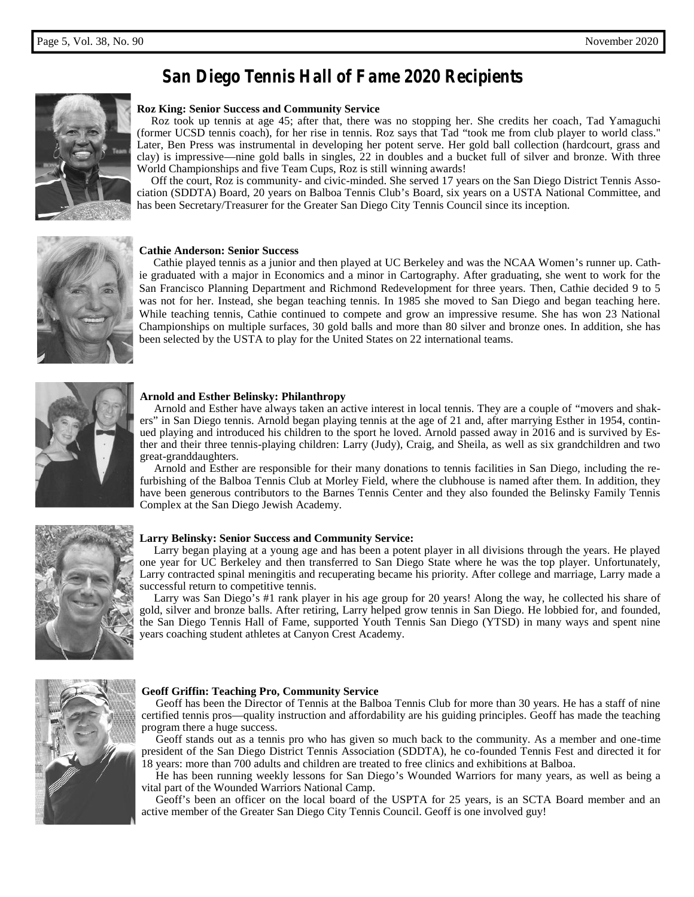## *San Diego Tennis Hall of Fame 2020 Recipients*



## **Roz King: Senior Success and Community Service**

Roz took up tennis at age 45; after that, there was no stopping her. She credits her coach, Tad Yamaguchi (former UCSD tennis coach), for her rise in tennis. Roz says that Tad "took me from club player to world class." Later, Ben Press was instrumental in developing her potent serve. Her gold ball collection (hardcourt, grass and clay) is impressive—nine gold balls in singles, 22 in doubles and a bucket full of silver and bronze. With three World Championships and five Team Cups, Roz is still winning awards!

Off the court, Roz is community- and civic-minded. She served 17 years on the San Diego District Tennis Association (SDDTA) Board, 20 years on Balboa Tennis Club's Board, six years on a USTA National Committee, and has been Secretary/Treasurer for the Greater San Diego City Tennis Council since its inception.



### **Cathie Anderson: Senior Success**

Cathie played tennis as a junior and then played at UC Berkeley and was the NCAA Women's runner up. Cathie graduated with a major in Economics and a minor in Cartography. After graduating, she went to work for the San Francisco Planning Department and Richmond Redevelopment for three years. Then, Cathie decided 9 to 5 was not for her. Instead, she began teaching tennis. In 1985 she moved to San Diego and began teaching here. While teaching tennis, Cathie continued to compete and grow an impressive resume. She has won 23 National Championships on multiple surfaces, 30 gold balls and more than 80 silver and bronze ones. In addition, she has been selected by the USTA to play for the United States on 22 international teams.



### **Arnold and Esther Belinsky: Philanthropy**

Arnold and Esther have always taken an active interest in local tennis. They are a couple of "movers and shakers" in San Diego tennis. Arnold began playing tennis at the age of 21 and, after marrying Esther in 1954, continued playing and introduced his children to the sport he loved. Arnold passed away in 2016 and is survived by Esther and their three tennis-playing children: Larry (Judy), Craig, and Sheila, as well as six grandchildren and two great-granddaughters.

Arnold and Esther are responsible for their many donations to tennis facilities in San Diego, including the refurbishing of the Balboa Tennis Club at Morley Field, where the clubhouse is named after them. In addition, they have been generous contributors to the Barnes Tennis Center and they also founded the Belinsky Family Tennis Complex at the San Diego Jewish Academy.



### **Larry Belinsky: Senior Success and Community Service:**

Larry began playing at a young age and has been a potent player in all divisions through the years. He played one year for UC Berkeley and then transferred to San Diego State where he was the top player. Unfortunately, Larry contracted spinal meningitis and recuperating became his priority. After college and marriage, Larry made a successful return to competitive tennis.

Larry was San Diego's #1 rank player in his age group for 20 years! Along the way, he collected his share of gold, silver and bronze balls. After retiring, Larry helped grow tennis in San Diego. He lobbied for, and founded, the San Diego Tennis Hall of Fame, supported Youth Tennis San Diego (YTSD) in many ways and spent nine years coaching student athletes at Canyon Crest Academy.



## **Geoff Griffin: Teaching Pro, Community Service**

Geoff has been the Director of Tennis at the Balboa Tennis Club for more than 30 years. He has a staff of nine certified tennis pros—quality instruction and affordability are his guiding principles. Geoff has made the teaching program there a huge success.

Geoff stands out as a tennis pro who has given so much back to the community. As a member and one-time president of the San Diego District Tennis Association (SDDTA), he co-founded Tennis Fest and directed it for 18 years: more than 700 adults and children are treated to free clinics and exhibitions at Balboa.

He has been running weekly lessons for San Diego's Wounded Warriors for many years, as well as being a vital part of the Wounded Warriors National Camp.

Geoff's been an officer on the local board of the USPTA for 25 years, is an SCTA Board member and an active member of the Greater San Diego City Tennis Council. Geoff is one involved guy!